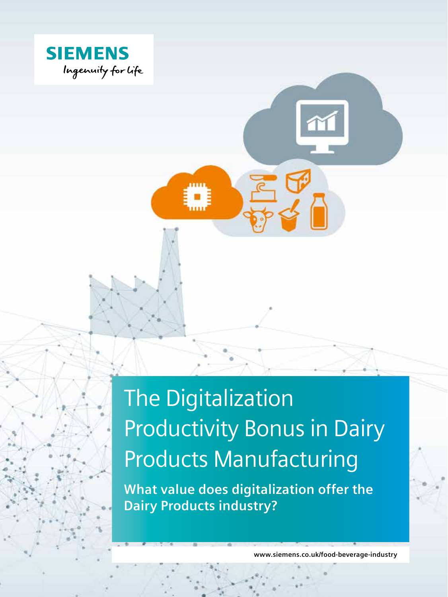

### The Digitalization Productivity Bonus in Dairy Products Manufacturing

**What value does digitalization offer the Dairy Products industry?**

**www.siemens.co.uk/food-beverage-industry**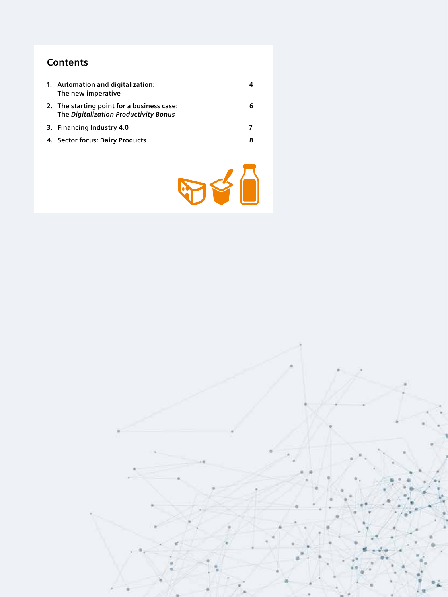#### **Contents**

| 1. Automation and digitalization:<br>The new imperative                             |   |
|-------------------------------------------------------------------------------------|---|
| 2. The starting point for a business case:<br>The Digitalization Productivity Bonus | 6 |
| 3. Financing Industry 4.0                                                           |   |
| 4. Sector focus: Dairy Products                                                     | 8 |



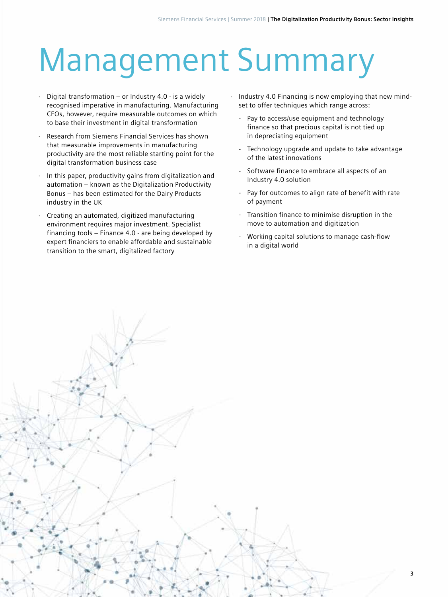### Management Summary

- Digital transformation or Industry 4.0 is a widely recognised imperative in manufacturing. Manufacturing CFOs, however, require measurable outcomes on which to base their investment in digital transformation
- Research from Siemens Financial Services has shown that measurable improvements in manufacturing productivity are the most reliable starting point for the digital transformation business case
- In this paper, productivity gains from digitalization and automation – known as the Digitalization Productivity Bonus – has been estimated for the Dairy Products industry in the UK
- Creating an automated, digitized manufacturing environment requires major investment. Specialist financing tools – Finance 4.0 - are being developed by expert financiers to enable affordable and sustainable transition to the smart, digitalized factory
- · Industry 4.0 Financing is now employing that new mindset to offer techniques which range across:
	- Pay to access/use equipment and technology finance so that precious capital is not tied up in depreciating equipment
	- Technology upgrade and update to take advantage of the latest innovations
	- Software finance to embrace all aspects of an Industry 4.0 solution
	- Pay for outcomes to align rate of benefit with rate of payment
	- Transition finance to minimise disruption in the move to automation and digitization
	- Working capital solutions to manage cash-flow in a digital world

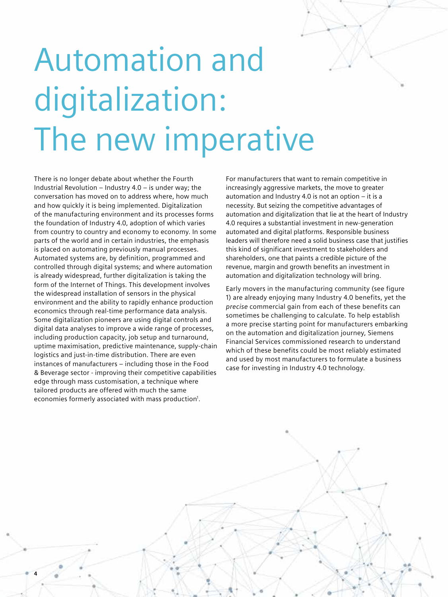# Automation and digitalization: The new imperative

There is no longer debate about whether the Fourth Industrial Revolution – Industry 4.0 – is under way; the conversation has moved on to address where, how much and how quickly it is being implemented. Digitalization of the manufacturing environment and its processes forms the foundation of Industry 4.0, adoption of which varies from country to country and economy to economy. In some parts of the world and in certain industries, the emphasis is placed on automating previously manual processes. Automated systems are, by definition, programmed and controlled through digital systems; and where automation is already widespread, further digitalization is taking the form of the Internet of Things. This development involves the widespread installation of sensors in the physical environment and the ability to rapidly enhance production economics through real-time performance data analysis. Some digitalization pioneers are using digital controls and digital data analyses to improve a wide range of processes, including production capacity, job setup and turnaround, uptime maximisation, predictive maintenance, supply-chain logistics and just-in-time distribution. There are even instances of manufacturers – including those in the Food & Beverage sector - improving their competitive capabilities edge through mass customisation, a technique where tailored products are offered with much the same economies formerly associated with mass production<sup>1</sup>.

**4**

For manufacturers that want to remain competitive in increasingly aggressive markets, the move to greater automation and Industry 4.0 is not an option – it is a necessity. But seizing the competitive advantages of automation and digitalization that lie at the heart of Industry 4.0 requires a substantial investment in new-generation automated and digital platforms. Responsible business leaders will therefore need a solid business case that justifies this kind of significant investment to stakeholders and shareholders, one that paints a credible picture of the revenue, margin and growth benefits an investment in automation and digitalization technology will bring.

Early movers in the manufacturing community (see figure 1) are already enjoying many Industry 4.0 benefits, yet the *precise* commercial gain from each of these benefits can sometimes be challenging to calculate. To help establish a more precise starting point for manufacturers embarking on the automation and digitalization journey, Siemens Financial Services commissioned research to understand which of these benefits could be most reliably estimated and used by most manufacturers to formulate a business case for investing in Industry 4.0 technology.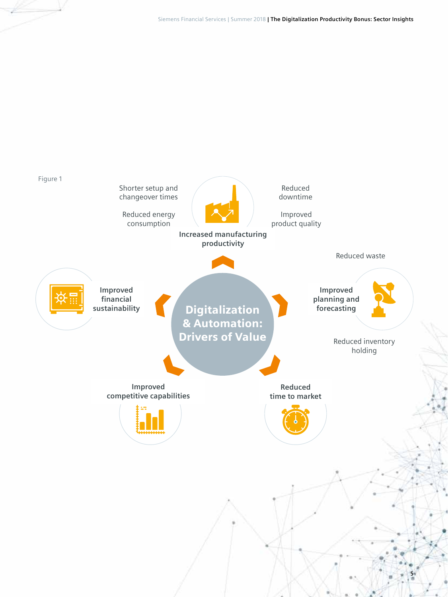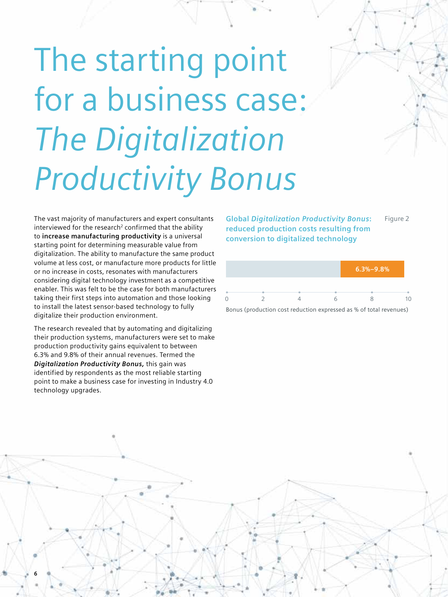# The starting point for a business case: *The Digitalization Productivity Bonus*

The vast majority of manufacturers and expert consultants interviewed for the research<sup>2</sup> confirmed that the ability to **increase manufacturing productivity** is a universal starting point for determining measurable value from digitalization. The ability to manufacture the same product volume at less cost, or manufacture more products for little or no increase in costs, resonates with manufacturers considering digital technology investment as a competitive enabler. This was felt to be the case for both manufacturers taking their first steps into automation and those looking to install the latest sensor-based technology to fully digitalize their production environment.

The research revealed that by automating and digitalizing their production systems, manufacturers were set to make production productivity gains equivalent to between 6.3% and 9.8% of their annual revenues. Termed the *Digitalization Productivity Bonus,* this gain was identified by respondents as the most reliable starting point to make a business case for investing in Industry 4.0 technology upgrades.

**Global** *Digitalization Productivity Bonus***: reduced production costs resulting from conversion to digitalized technology**  Figure 2



Bonus (production cost reduction expressed as % of total revenues)

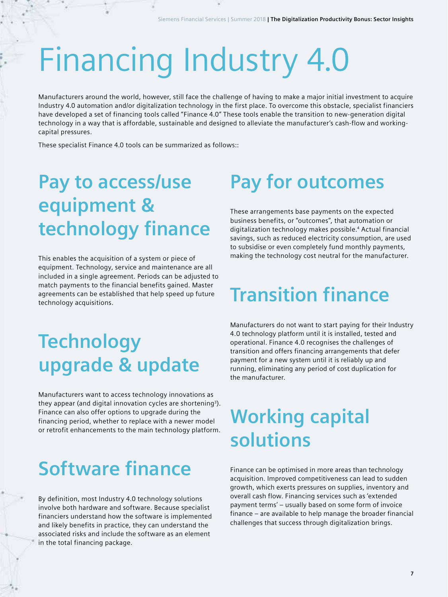## Financing Industry 4.0

Manufacturers around the world, however, still face the challenge of having to make a major initial investment to acquire Industry 4.0 automation and/or digitalization technology in the first place. To overcome this obstacle, specialist financiers have developed a set of financing tools called "Finance 4.0" These tools enable the transition to new-generation digital technology in a way that is affordable, sustainable and designed to alleviate the manufacturer's cash-flow and workingcapital pressures.

These specialist Finance 4.0 tools can be summarized as follows::

#### **Pay to access/use equipment & technology finance**

This enables the acquisition of a system or piece of equipment. Technology, service and maintenance are all included in a single agreement. Periods can be adjusted to match payments to the financial benefits gained. Master agreements can be established that help speed up future technology acquisitions.

#### **Technology upgrade & update**

Manufacturers want to access technology innovations as they appear (and digital innovation cycles are shortening<sup>3</sup>). Finance can also offer options to upgrade during the financing period, whether to replace with a newer model or retrofit enhancements to the main technology platform.

#### **Software finance**

By definition, most Industry 4.0 technology solutions involve both hardware and software. Because specialist financiers understand how the software is implemented and likely benefits in practice, they can understand the associated risks and include the software as an element in the total financing package.

### **Pay for outcomes**

These arrangements base payments on the expected business benefits, or "outcomes", that automation or digitalization technology makes possible.4 Actual financial savings, such as reduced electricity consumption, are used to subsidise or even completely fund monthly payments, making the technology cost neutral for the manufacturer.

### **Transition finance**

Manufacturers do not want to start paying for their Industry 4.0 technology platform until it is installed, tested and operational. Finance 4.0 recognises the challenges of transition and offers financing arrangements that defer payment for a new system until it is reliably up and running, eliminating any period of cost duplication for the manufacturer.

#### **Working capital solutions**

Finance can be optimised in more areas than technology acquisition. Improved competitiveness can lead to sudden growth, which exerts pressures on supplies, inventory and overall cash flow. Financing services such as 'extended payment terms' – usually based on some form of invoice finance – are available to help manage the broader financial challenges that success through digitalization brings.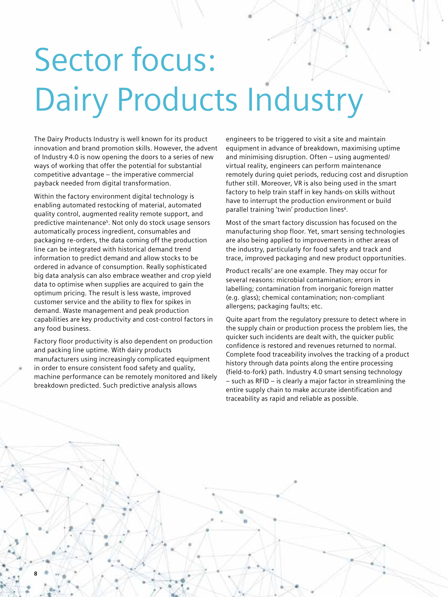## Sector focus: Dairy Products Industry

The Dairy Products Industry is well known for its product innovation and brand promotion skills. However, the advent of Industry 4.0 is now opening the doors to a series of new ways of working that offer the potential for substantial competitive advantage – the imperative commercial payback needed from digital transformation.

Within the factory environment digital technology is enabling automated restocking of material, automated quality control, augmented reality remote support, and predictive maintenance5 . Not only do stock usage sensors automatically process ingredient, consumables and packaging re-orders, the data coming off the production line can be integrated with historical demand trend information to predict demand and allow stocks to be ordered in advance of consumption. Really sophisticated big data analysis can also embrace weather and crop yield data to optimise when supplies are acquired to gain the optimum pricing. The result is less waste, improved customer service and the ability to flex for spikes in demand. Waste management and peak production capabilities are key productivity and cost-control factors in any food business.

Factory floor productivity is also dependent on production and packing line uptime. With dairy products manufacturers using increasingly complicated equipment in order to ensure consistent food safety and quality, machine performance can be remotely monitored and likely breakdown predicted. Such predictive analysis allows

**8**

engineers to be triggered to visit a site and maintain equipment in advance of breakdown, maximising uptime and minimising disruption. Often – using augmented/ virtual reality, engineers can perform maintenance remotely during quiet periods, reducing cost and disruption futher still. Moreover, VR is also being used in the smart factory to help train staff in key hands-on skills without have to interrupt the production environment or build parallel training 'twin' production lines<sup>6</sup>.

Most of the smart factory discussion has focused on the manufacturing shop floor. Yet, smart sensing technologies are also being applied to improvements in other areas of the industry, particularly for food safety and track and trace, improved packaging and new product opportunities.

Product recalls<sup>7</sup> are one example. They may occur for several reasons: microbial contamination; errors in labelling; contamination from inorganic foreign matter (e.g. glass); chemical contamination; non-compliant allergens; packaging faults; etc.

Quite apart from the regulatory pressure to detect where in the supply chain or production process the problem lies, the quicker such incidents are dealt with, the quicker public confidence is restored and revenues returned to normal. Complete food traceability involves the tracking of a product history through data points along the entire processing (field-to-fork) path. Industry 4.0 smart sensing technology – such as RFID – is clearly a major factor in streamlining the entire supply chain to make accurate identification and traceability as rapid and reliable as possible.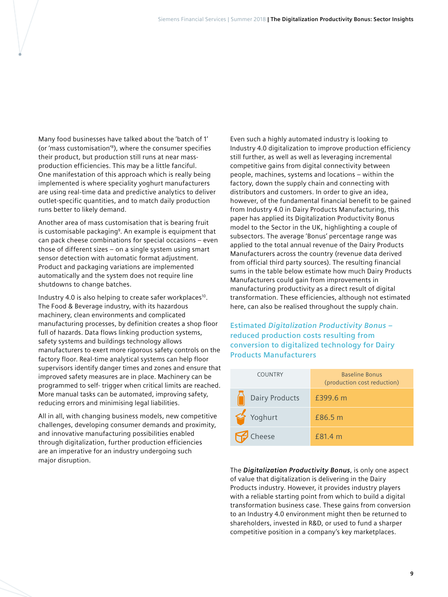Many food businesses have talked about the 'batch of 1' (or 'mass customisation'8 ), where the consumer specifies their product, but production still runs at near massproduction efficiencies. This may be a little fanciful. One manifestation of this approach which is really being implemented is where speciality yoghurt manufacturers are using real-time data and predictive analytics to deliver outlet-specific quantities, and to match daily production runs better to likely demand.

Another area of mass customisation that is bearing fruit is customisable packaging<sup>9</sup>. An example is equipment that can pack cheese combinations for special occasions – even those of different sizes – on a single system using smart sensor detection with automatic format adjustment. Product and packaging variations are implemented automatically and the system does not require line shutdowns to change batches.

Industry 4.0 is also helping to create safer workplaces<sup>10</sup>. The Food & Beverage industry, with its hazardous machinery, clean environments and complicated manufacturing processes, by definition creates a shop floor full of hazards. Data flows linking production systems, safety systems and buildings technology allows manufacturers to exert more rigorous safety controls on the factory floor. Real-time analytical systems can help floor supervisors identify danger times and zones and ensure that improved safety measures are in place. Machinery can be programmed to self- trigger when critical limits are reached. More manual tasks can be automated, improving safety, reducing errors and minimising legal liabilities.

All in all, with changing business models, new competitive challenges, developing consumer demands and proximity, and innovative manufacturing possibilities enabled through digitalization, further production efficiencies are an imperative for an industry undergoing such major disruption.

Even such a highly automated industry is looking to Industry 4.0 digitalization to improve production efficiency still further, as well as well as leveraging incremental competitive gains from digital connectivity between people, machines, systems and locations – within the factory, down the supply chain and connecting with distributors and customers. In order to give an idea, however, of the fundamental financial benefit to be gained from Industry 4.0 in Dairy Products Manufacturing, this paper has applied its Digitalization Productivity Bonus model to the Sector in the UK, highlighting a couple of subsectors. The average 'Bonus' percentage range was applied to the total annual revenue of the Dairy Products Manufacturers across the country (revenue data derived from official third party sources). The resulting financial sums in the table below estimate how much Dairy Products Manufacturers could gain from improvements in manufacturing productivity as a direct result of digital transformation. These efficiencies, although not estimated here, can also be realised throughout the supply chain.

**Estimated** *Digitalization Productivity Bonus* **– reduced production costs resulting from conversion to digitalized technology for Dairy Products Manufacturers**

| <b>COUNTRY</b> | <b>Baseline Bonus</b><br>(production cost reduction) |
|----------------|------------------------------------------------------|
| Dairy Products | £399.6 m                                             |
| Yoghurt        | £86.5 m                                              |
| Cheese         | £81.4 m                                              |

The *Digitalization Productivity Bonus*, is only one aspect of value that digitalization is delivering in the Dairy Products industry. However, it provides industry players with a reliable starting point from which to build a digital transformation business case. These gains from conversion to an Industry 4.0 environment might then be returned to shareholders, invested in R&D, or used to fund a sharper competitive position in a company's key marketplaces.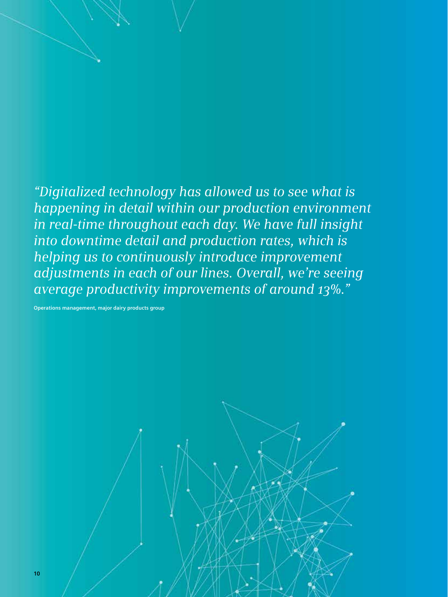*"Digitalized technology has allowed us to see what is happening in detail within our production environment in real-time throughout each day. We have full insight into downtime detail and production rates, which is helping us to continuously introduce improvement adjustments in each of our lines. Overall, we're seeing average productivity improvements of around 13%."*

**Operations management, major dairy products group**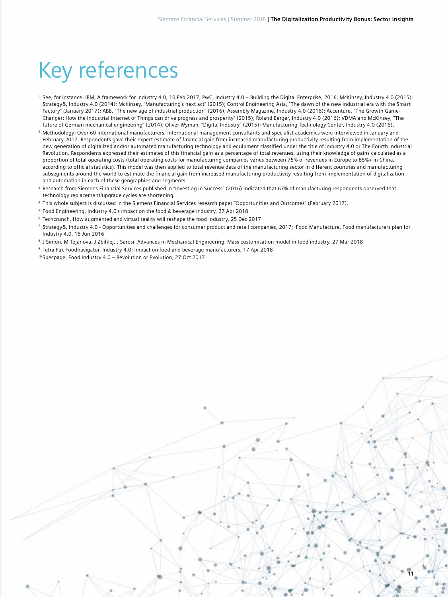### Key references

- <sup>1</sup> See, for instance: IBM, A framework for Industry 4.0, 10 Feb 2017; PwC, Industry 4.0 Building the Digital Enterprise, 2016; McKinsey, Industry 4.0 (2015); Strategy&, Industry 4.0 (2014); McKinsey, "Manufacturing's next act" (2015); Control Engineering Asia, "The dawn of the new industrial era with the Smart Factory" (January 2017); ABB, "The new age of industrial production" (2016); Assembly Magazine, Industry 4.0 (2016); Accenture, "The Growth Game-Changer: How the Industrial Internet of Things can drive progress and prosperity" (2015); Roland Berger, Industry 4.0 (2016); VDMA and McKinsey, "The future of German mechanical engineering" (2014); Oliver Wyman, "Digital Industry" (2015); Manufacturing Technology Center, Industry 4.0 (2016).
- <sup>2</sup> Methodology: Over 60 international manufacturers, international management consultants and specialist academics were interviewed in January and February 2017. Respondents gave their expert estimate of financial gain from increased manufacturing productivity resulting from implementation of the new generation of digitalized and/or automated manufacturing technology and equipment classified under the title of Industry 4.0 or The Fourth Industrial Revolution. Respondents expressed their estimates of this financial gain as a percentage of total revenues, using their knowledge of gains calculated as a proportion of total operating costs (total operating costs for manufacturing companies varies between 75% of revenues in Europe to 85%+ in China, according to official statistics). This model was then applied to total revenue data of the manufacturing sector in different countries and manufacturing subsegments around the world to estimate the financial gain from increased manufacturing productivity resulting from implementation of digitalization and automation in each of these geographies and segments.
- <sup>3</sup> Research from Siemens Financial Services published in "Investing in Success" (2016) indicated that 67% of manufacturing respondents observed that technology replacement/upgrade cycles are shortening.
- <sup>4</sup> This whole subject is discussed in the Siemens Financial Services research paper "Opportunities and Outcomes" (February 2017).
- <sup>5</sup> Food Engineering, Industry 4.0's impact on the food & beverage industry, 27 Apr 2018
- <sup>6</sup> Techcrunch, How augmented and virtual reality will reshape the food industry, 25 Dec 2017
- <sup>7</sup> Strategy&, Industry 4.0 Opportunities and challenges for consumer product and retail companies, 2017; Food Manufacture, Food manufacturers plan for Industry 4.0, 15 Jun 2016
- <sup>8</sup> J Simon, M Tojanova, J Zbihlej, J Sarosi, Advances in Mechanical Engineering, Mass customisation model in food industry, 27 Mar 2018
- <sup>9</sup> Tetra Pak Foodnavigator, Industry 4.0: Impact on food and beverage manufacturers, 17 Apr 2018

<sup>10</sup> Specpage, Food Industry 4.0 – Revolution or Evolution, 27 Oct 2017